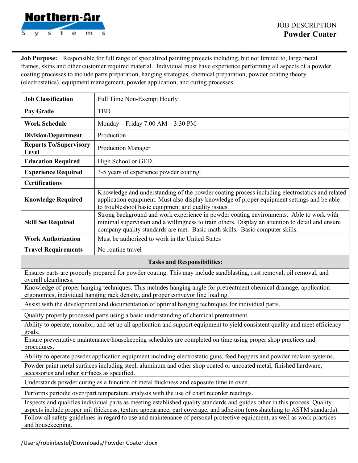

**Job Purpose:** Responsible for full range of specialized painting projects including, but not limited to, large metal frames, skins and other customer required material. Individual must have experience performing all aspects of a powder coating processes to include parts preparation, hanging strategies, chemical preparation, powder coating theory (electrostatics), equipment management, powder application, and curing processes.

| <b>Job Classification</b>                                                                                                                                                                                                                                                                                                                                                           | Full Time Non-Exempt Hourly                                                                                                                                                                                                                                                 |
|-------------------------------------------------------------------------------------------------------------------------------------------------------------------------------------------------------------------------------------------------------------------------------------------------------------------------------------------------------------------------------------|-----------------------------------------------------------------------------------------------------------------------------------------------------------------------------------------------------------------------------------------------------------------------------|
| Pay Grade                                                                                                                                                                                                                                                                                                                                                                           | <b>TBD</b>                                                                                                                                                                                                                                                                  |
| <b>Work Schedule</b>                                                                                                                                                                                                                                                                                                                                                                | Monday - Friday $7:00$ AM - $3:30$ PM                                                                                                                                                                                                                                       |
| <b>Division/Department</b>                                                                                                                                                                                                                                                                                                                                                          | Production                                                                                                                                                                                                                                                                  |
| <b>Reports To/Supervisory</b><br>Level                                                                                                                                                                                                                                                                                                                                              | <b>Production Manager</b>                                                                                                                                                                                                                                                   |
| <b>Education Required</b>                                                                                                                                                                                                                                                                                                                                                           | High School or GED.                                                                                                                                                                                                                                                         |
| <b>Experience Required</b>                                                                                                                                                                                                                                                                                                                                                          | 3-5 years of experience powder coating.                                                                                                                                                                                                                                     |
| <b>Certifications</b>                                                                                                                                                                                                                                                                                                                                                               |                                                                                                                                                                                                                                                                             |
| <b>Knowledge Required</b>                                                                                                                                                                                                                                                                                                                                                           | Knowledge and understanding of the powder coating process including electrostatics and related<br>application equipment. Must also display knowledge of proper equipment settings and be able<br>to troubleshoot basic equipment and quality issues.                        |
| <b>Skill Set Required</b>                                                                                                                                                                                                                                                                                                                                                           | Strong background and work experience in powder coating environments. Able to work with<br>minimal supervision and a willingness to train others. Display an attention to detail and ensure<br>company quality standards are met. Basic math skills. Basic computer skills. |
| <b>Work Authorization</b>                                                                                                                                                                                                                                                                                                                                                           | Must be authorized to work in the United States                                                                                                                                                                                                                             |
| <b>Travel Requirements</b>                                                                                                                                                                                                                                                                                                                                                          | No routine travel                                                                                                                                                                                                                                                           |
| <b>Tasks and Responsibilities:</b>                                                                                                                                                                                                                                                                                                                                                  |                                                                                                                                                                                                                                                                             |
| Ensures parts are properly prepared for powder coating. This may include sandblasting, rust removal, oil removal, and<br>overall cleanliness.                                                                                                                                                                                                                                       |                                                                                                                                                                                                                                                                             |
| Knowledge of proper hanging techniques. This includes hanging angle for pretreatment chemical drainage, application<br>ergonomics, individual hanging rack density, and proper conveyor line loading.                                                                                                                                                                               |                                                                                                                                                                                                                                                                             |
| Assist with the development and documentation of optimal hanging techniques for individual parts.                                                                                                                                                                                                                                                                                   |                                                                                                                                                                                                                                                                             |
| Qualify properly processed parts using a basic understanding of chemical pretreatment.                                                                                                                                                                                                                                                                                              |                                                                                                                                                                                                                                                                             |
| Ability to operate, monitor, and set up all application and support equipment to yield consistent quality and meet efficiency<br>goals.                                                                                                                                                                                                                                             |                                                                                                                                                                                                                                                                             |
| Ensure preventative maintenance/housekeeping schedules are completed on time using proper shop practices and<br>procedures.                                                                                                                                                                                                                                                         |                                                                                                                                                                                                                                                                             |
| Ability to operate powder application equipment including electrostatic guns, feed hoppers and powder reclaim systems.                                                                                                                                                                                                                                                              |                                                                                                                                                                                                                                                                             |
| Powder paint metal surfaces including steel, aluminum and other shop coated or uncoated metal, finished hardware,<br>accessories and other surfaces as specified.                                                                                                                                                                                                                   |                                                                                                                                                                                                                                                                             |
| Understands powder curing as a function of metal thickness and exposure time in oven.                                                                                                                                                                                                                                                                                               |                                                                                                                                                                                                                                                                             |
| Performs periodic oven/part temperature analysis with the use of chart recorder readings.                                                                                                                                                                                                                                                                                           |                                                                                                                                                                                                                                                                             |
| Inspects and qualifies individual parts as meeting established quality standards and guides other in this process. Quality<br>aspects include proper mil thickness, texture appearance, part coverage, and adhesion (crosshatching to ASTM standards).<br>Follow all safety guidelines in regard to use and maintenance of personal protective equipment, as well as work practices |                                                                                                                                                                                                                                                                             |
| and housekeeping.                                                                                                                                                                                                                                                                                                                                                                   |                                                                                                                                                                                                                                                                             |